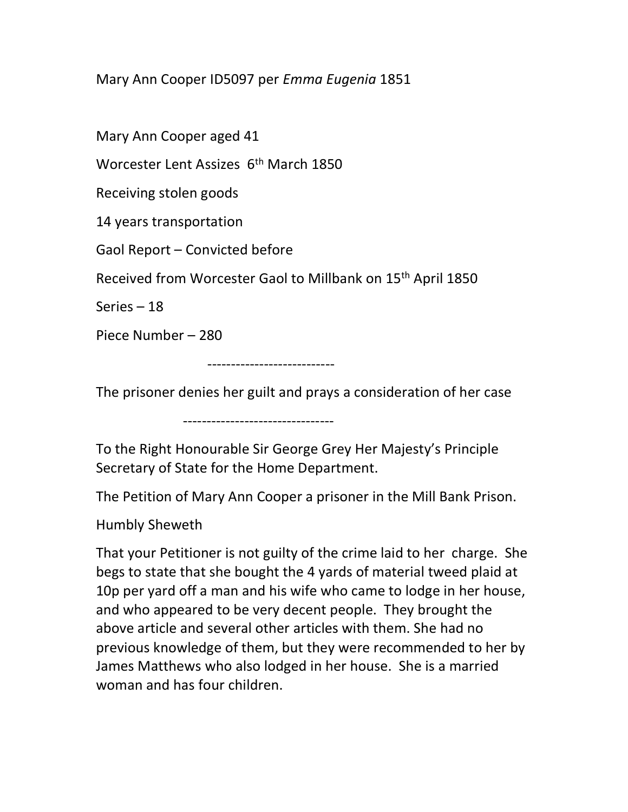Mary Ann Cooper ID5097 per Emma Eugenia 1851

Mary Ann Cooper aged 41

Worcester Lent Assizes 6<sup>th</sup> March 1850

Receiving stolen goods

14 years transportation

Gaol Report – Convicted before

Received from Worcester Gaol to Millbank on 15th April 1850

Series – 18

Piece Number – 280

---------------------------

The prisoner denies her guilt and prays a consideration of her case

--------------------------------

To the Right Honourable Sir George Grey Her Majesty's Principle Secretary of State for the Home Department.

The Petition of Mary Ann Cooper a prisoner in the Mill Bank Prison.

Humbly Sheweth

That your Petitioner is not guilty of the crime laid to her charge. She begs to state that she bought the 4 yards of material tweed plaid at 10p per yard off a man and his wife who came to lodge in her house, and who appeared to be very decent people. They brought the above article and several other articles with them. She had no previous knowledge of them, but they were recommended to her by James Matthews who also lodged in her house. She is a married woman and has four children.